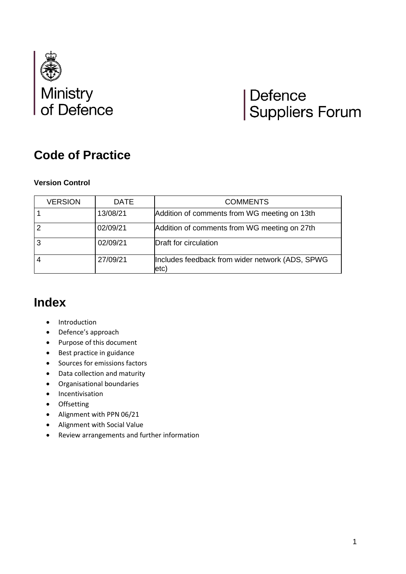

# Defence<br>Suppliers Forum

# **Code of Practice**

#### **Version Control**

| <b>VERSION</b> | <b>DATE</b> | <b>COMMENTS</b>                                          |
|----------------|-------------|----------------------------------------------------------|
|                | 13/08/21    | Addition of comments from WG meeting on 13th             |
|                | 02/09/21    | Addition of comments from WG meeting on 27th             |
|                | 02/09/21    | Draft for circulation                                    |
|                | 27/09/21    | Includes feedback from wider network (ADS, SPWG<br>letc) |

## **Index**

- Introduction
- Defence's approach
- Purpose of this document
- Best practice in guidance
- Sources for emissions factors
- Data collection and maturity
- Organisational boundaries
- Incentivisation
- Offsetting
- Alignment with PPN 06/21
- Alignment with Social Value
- Review arrangements and further information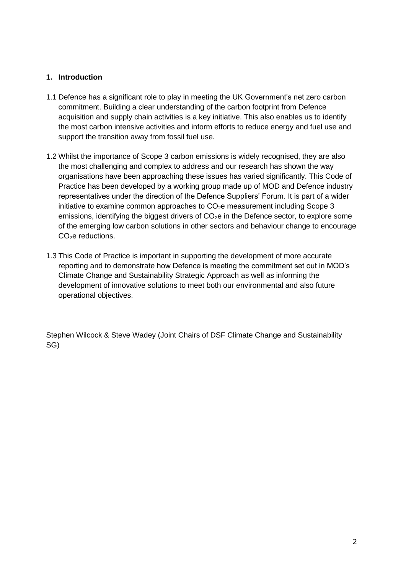#### **1. Introduction**

- 1.1 Defence has a significant role to play in meeting the UK Government's net zero carbon commitment. Building a clear understanding of the carbon footprint from Defence acquisition and supply chain activities is a key initiative. This also enables us to identify the most carbon intensive activities and inform efforts to reduce energy and fuel use and support the transition away from fossil fuel use.
- 1.2 Whilst the importance of Scope 3 carbon emissions is widely recognised, they are also the most challenging and complex to address and our research has shown the way organisations have been approaching these issues has varied significantly. This Code of Practice has been developed by a working group made up of MOD and Defence industry representatives under the direction of the Defence Suppliers' Forum. It is part of a wider initiative to examine common approaches to  $CO<sub>2</sub>e$  measurement including Scope 3 emissions, identifying the biggest drivers of  $CO<sub>2</sub>e$  in the Defence sector, to explore some of the emerging low carbon solutions in other sectors and behaviour change to encourage CO<sub>2</sub>e reductions.
- 1.3 This Code of Practice is important in supporting the development of more accurate reporting and to demonstrate how Defence is meeting the commitment set out in MOD's Climate Change and Sustainability Strategic Approach as well as informing the development of innovative solutions to meet both our environmental and also future operational objectives.

Stephen Wilcock & Steve Wadey (Joint Chairs of DSF Climate Change and Sustainability SG)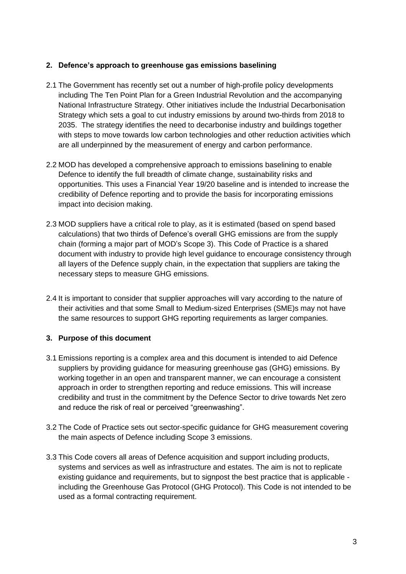#### **2. Defence's approach to greenhouse gas emissions baselining**

- 2.1 The Government has recently set out a number of high-profile policy developments including The Ten Point Plan for a Green Industrial Revolution and the accompanying National Infrastructure Strategy. Other initiatives include the Industrial Decarbonisation Strategy which sets a goal to cut industry emissions by around two-thirds from 2018 to 2035. The strategy identifies the need to decarbonise industry and buildings together with steps to move towards low carbon technologies and other reduction activities which are all underpinned by the measurement of energy and carbon performance.
- 2.2 MOD has developed a comprehensive approach to emissions baselining to enable Defence to identify the full breadth of climate change, sustainability risks and opportunities. This uses a Financial Year 19/20 baseline and is intended to increase the credibility of Defence reporting and to provide the basis for incorporating emissions impact into decision making.
- 2.3 MOD suppliers have a critical role to play, as it is estimated (based on spend based calculations) that two thirds of Defence's overall GHG emissions are from the supply chain (forming a major part of MOD's Scope 3). This Code of Practice is a shared document with industry to provide high level guidance to encourage consistency through all layers of the Defence supply chain, in the expectation that suppliers are taking the necessary steps to measure GHG emissions.
- 2.4 It is important to consider that supplier approaches will vary according to the nature of their activities and that some Small to Medium-sized Enterprises (SME)s may not have the same resources to support GHG reporting requirements as larger companies.

#### **3. Purpose of this document**

- 3.1 Emissions reporting is a complex area and this document is intended to aid Defence suppliers by providing guidance for measuring greenhouse gas (GHG) emissions. By working together in an open and transparent manner, we can encourage a consistent approach in order to strengthen reporting and reduce emissions. This will increase credibility and trust in the commitment by the Defence Sector to drive towards Net zero and reduce the risk of real or perceived "greenwashing".
- 3.2 The Code of Practice sets out sector-specific guidance for GHG measurement covering the main aspects of Defence including Scope 3 emissions.
- 3.3 This Code covers all areas of Defence acquisition and support including products, systems and services as well as infrastructure and estates. The aim is not to replicate existing guidance and requirements, but to signpost the best practice that is applicable including the Greenhouse Gas Protocol (GHG Protocol). This Code is not intended to be used as a formal contracting requirement.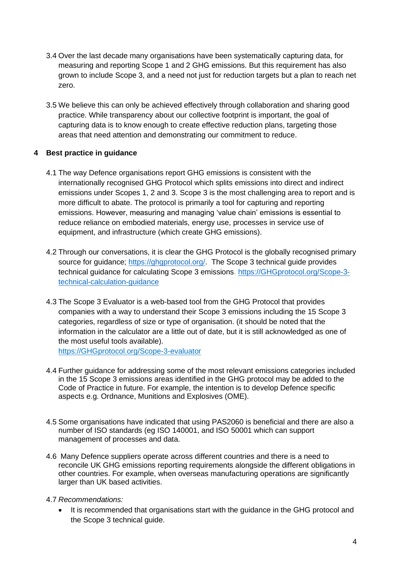- 3.4 Over the last decade many organisations have been systematically capturing data, for measuring and reporting Scope 1 and 2 GHG emissions. But this requirement has also grown to include Scope 3, and a need not just for reduction targets but a plan to reach net zero.
- 3.5 We believe this can only be achieved effectively through collaboration and sharing good practice. While transparency about our collective footprint is important, the goal of capturing data is to know enough to create effective reduction plans, targeting those areas that need attention and demonstrating our commitment to reduce.

#### **4 Best practice in guidance**

- 4.1 The way Defence organisations report GHG emissions is consistent with the internationally recognised GHG Protocol which splits emissions into direct and indirect emissions under Scopes 1, 2 and 3. Scope 3 is the most challenging area to report and is more difficult to abate. The protocol is primarily a tool for capturing and reporting emissions. However, measuring and managing 'value chain' emissions is essential to reduce reliance on embodied materials, energy use, processes in service use of equipment, and infrastructure (which create GHG emissions).
- 4.2 Through our conversations, it is clear the GHG Protocol is the globally recognised primary source for quidance; [https://ghgprotocol.org/.](https://ghgprotocol.org/) The Scope 3 technical guide provides technical guidance for calculating Scope 3 emissions. [https://GHGprotocol.org/Scope-3](https://ghgprotocol.org/scope-3-technical-calculation-guidance) [technical-calculation-guidance](https://ghgprotocol.org/scope-3-technical-calculation-guidance)
- 4.3 The Scope 3 Evaluator is a web-based tool from the GHG Protocol that provides companies with a way to understand their Scope 3 emissions including the 15 Scope 3 categories, regardless of size or type of organisation. (it should be noted that the information in the calculator are a little out of date, but it is still acknowledged as one of the most useful tools available).

https://GHGprotocol.org/Scope-3-evaluator

- 4.4 Further guidance for addressing some of the most relevant emissions categories included in the 15 Scope 3 emissions areas identified in the GHG protocol may be added to the Code of Practice in future. For example, the intention is to develop Defence specific aspects e.g. Ordnance, Munitions and Explosives (OME).
- 4.5 Some organisations have indicated that using PAS2060 is beneficial and there are also a number of ISO standards (eg ISO 140001, and ISO 50001 which can support management of processes and data.
- 4.6 Many Defence suppliers operate across different countries and there is a need to reconcile UK GHG emissions reporting requirements alongside the different obligations in other countries. For example, when overseas manufacturing operations are significantly larger than UK based activities.
- 4.7 *Recommendations:*
	- It is recommended that organisations start with the guidance in the GHG protocol and the Scope 3 technical guide.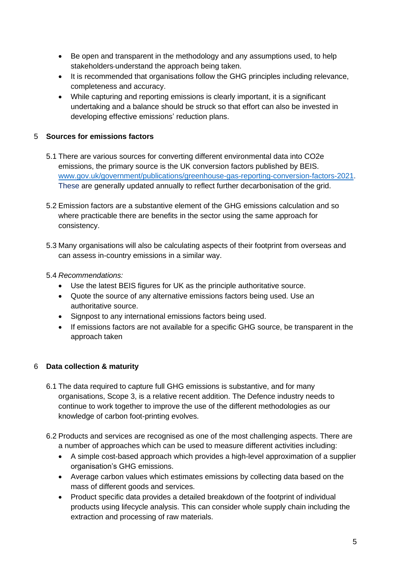- Be open and transparent in the methodology and any assumptions used, to help stakeholders-understand the approach being taken.
- It is recommended that organisations follow the GHG principles including relevance, completeness and accuracy.
- While capturing and reporting emissions is clearly important, it is a significant undertaking and a balance should be struck so that effort can also be invested in developing effective emissions' reduction plans.

#### 5 **Sources for emissions factors**

- 5.1 There are various sources for converting different environmental data into CO2e emissions, the primary source is the UK conversion factors published by BEIS. [www.gov.uk/government/publications/greenhouse-gas-reporting-conversion-factors-2021.](http://www.gov.uk/government/publications/greenhouse-gas-reporting-conversion-factors-2021) These are generally updated annually to reflect further decarbonisation of the grid.
- 5.2 Emission factors are a substantive element of the GHG emissions calculation and so where practicable there are benefits in the sector using the same approach for consistency.
- 5.3 Many organisations will also be calculating aspects of their footprint from overseas and can assess in-country emissions in a similar way.

#### 5.4 *Recommendations:*

- Use the latest BEIS figures for UK as the principle authoritative source.
- Quote the source of any alternative emissions factors being used. Use an authoritative source.
- Signpost to any international emissions factors being used.
- If emissions factors are not available for a specific GHG source, be transparent in the approach taken

## 6 **Data collection & maturity**

- 6.1 The data required to capture full GHG emissions is substantive, and for many organisations, Scope 3, is a relative recent addition. The Defence industry needs to continue to work together to improve the use of the different methodologies as our knowledge of carbon foot-printing evolves.
- 6.2 Products and services are recognised as one of the most challenging aspects. There are a number of approaches which can be used to measure different activities including:
	- A simple cost-based approach which provides a high-level approximation of a supplier organisation's GHG emissions.
	- Average carbon values which estimates emissions by collecting data based on the mass of different goods and services.
	- Product specific data provides a detailed breakdown of the footprint of individual products using lifecycle analysis. This can consider whole supply chain including the extraction and processing of raw materials.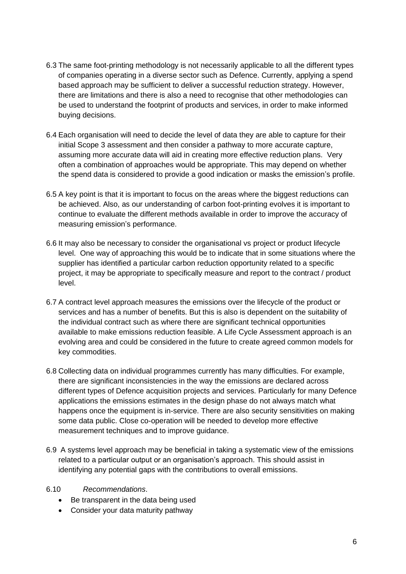- 6.3 The same foot-printing methodology is not necessarily applicable to all the different types of companies operating in a diverse sector such as Defence. Currently, applying a spend based approach may be sufficient to deliver a successful reduction strategy. However, there are limitations and there is also a need to recognise that other methodologies can be used to understand the footprint of products and services, in order to make informed buying decisions.
- 6.4 Each organisation will need to decide the level of data they are able to capture for their initial Scope 3 assessment and then consider a pathway to more accurate capture, assuming more accurate data will aid in creating more effective reduction plans. Very often a combination of approaches would be appropriate. This may depend on whether the spend data is considered to provide a good indication or masks the emission's profile.
- 6.5 A key point is that it is important to focus on the areas where the biggest reductions can be achieved. Also, as our understanding of carbon foot-printing evolves it is important to continue to evaluate the different methods available in order to improve the accuracy of measuring emission's performance.
- 6.6 It may also be necessary to consider the organisational vs project or product lifecycle level. One way of approaching this would be to indicate that in some situations where the supplier has identified a particular carbon reduction opportunity related to a specific project, it may be appropriate to specifically measure and report to the contract / product level.
- 6.7 A contract level approach measures the emissions over the lifecycle of the product or services and has a number of benefits. But this is also is dependent on the suitability of the individual contract such as where there are significant technical opportunities available to make emissions reduction feasible. A Life Cycle Assessment approach is an evolving area and could be considered in the future to create agreed common models for key commodities.
- 6.8 Collecting data on individual programmes currently has many difficulties. For example, there are significant inconsistencies in the way the emissions are declared across different types of Defence acquisition projects and services. Particularly for many Defence applications the emissions estimates in the design phase do not always match what happens once the equipment is in-service. There are also security sensitivities on making some data public. Close co-operation will be needed to develop more effective measurement techniques and to improve guidance.
- 6.9 A systems level approach may be beneficial in taking a systematic view of the emissions related to a particular output or an organisation's approach. This should assist in identifying any potential gaps with the contributions to overall emissions.
- 6.10 *Recommendations*.
	- Be transparent in the data being used
	- Consider your data maturity pathway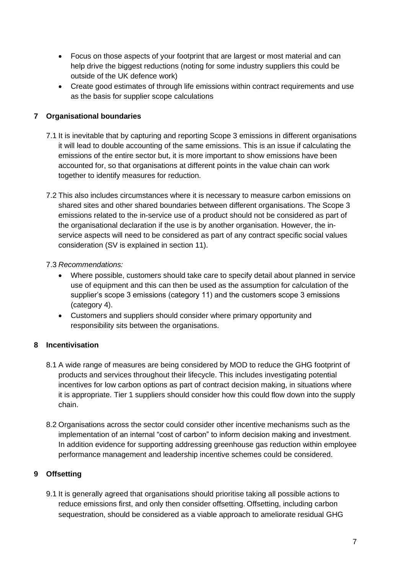- Focus on those aspects of your footprint that are largest or most material and can help drive the biggest reductions (noting for some industry suppliers this could be outside of the UK defence work)
- Create good estimates of through life emissions within contract requirements and use as the basis for supplier scope calculations

### **7 Organisational boundaries**

- 7.1 It is inevitable that by capturing and reporting Scope 3 emissions in different organisations it will lead to double accounting of the same emissions. This is an issue if calculating the emissions of the entire sector but, it is more important to show emissions have been accounted for, so that organisations at different points in the value chain can work together to identify measures for reduction.
- 7.2 This also includes circumstances where it is necessary to measure carbon emissions on shared sites and other shared boundaries between different organisations. The Scope 3 emissions related to the in-service use of a product should not be considered as part of the organisational declaration if the use is by another organisation. However, the inservice aspects will need to be considered as part of any contract specific social values consideration (SV is explained in section 11).

#### 7.3 *Recommendations:*

- Where possible, customers should take care to specify detail about planned in service use of equipment and this can then be used as the assumption for calculation of the supplier's scope 3 emissions (category 11) and the customers scope 3 emissions (category 4).
- Customers and suppliers should consider where primary opportunity and responsibility sits between the organisations.

#### **8 Incentivisation**

- 8.1 A wide range of measures are being considered by MOD to reduce the GHG footprint of products and services throughout their lifecycle. This includes investigating potential incentives for low carbon options as part of contract decision making, in situations where it is appropriate. Tier 1 suppliers should consider how this could flow down into the supply chain.
- 8.2 Organisations across the sector could consider other incentive mechanisms such as the implementation of an internal "cost of carbon" to inform decision making and investment. In addition evidence for supporting addressing greenhouse gas reduction within employee performance management and leadership incentive schemes could be considered.

#### **9 Offsetting**

9.1 It is generally agreed that organisations should prioritise taking all possible actions to reduce emissions first, and only then consider offsetting. Offsetting, including carbon sequestration, should be considered as a viable approach to ameliorate residual GHG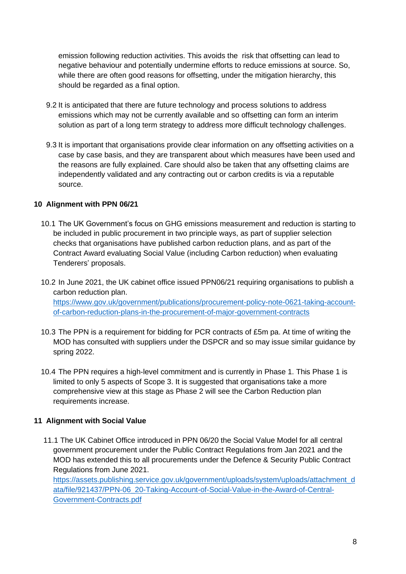emission following reduction activities. This avoids the risk that offsetting can lead to negative behaviour and potentially undermine efforts to reduce emissions at source. So, while there are often good reasons for offsetting, under the mitigation hierarchy, this should be regarded as a final option.

- 9.2 It is anticipated that there are future technology and process solutions to address emissions which may not be currently available and so offsetting can form an interim solution as part of a long term strategy to address more difficult technology challenges.
- 9.3 It is important that organisations provide clear information on any offsetting activities on a case by case basis, and they are transparent about which measures have been used and the reasons are fully explained. Care should also be taken that any offsetting claims are independently validated and any contracting out or carbon credits is via a reputable source.

#### **10 Alignment with PPN 06/21**

- 10.1 The UK Government's focus on GHG emissions measurement and reduction is starting to be included in public procurement in two principle ways, as part of supplier selection checks that organisations have published carbon reduction plans, and as part of the Contract Award evaluating Social Value (including Carbon reduction) when evaluating Tenderers' proposals.
- 10.2 In June 2021, the UK cabinet office issued PPN06/21 requiring organisations to publish a carbon reduction plan. [https://www.gov.uk/government/publications/procurement-policy-note-0621-taking-account](https://www.gov.uk/government/publications/procurement-policy-note-0621-taking-account-of-carbon-reduction-plans-in-the-procurement-of-major-government-contracts)[of-carbon-reduction-plans-in-the-procurement-of-major-government-contracts](https://www.gov.uk/government/publications/procurement-policy-note-0621-taking-account-of-carbon-reduction-plans-in-the-procurement-of-major-government-contracts)
- 10.3 The PPN is a requirement for bidding for PCR contracts of £5m pa. At time of writing the MOD has consulted with suppliers under the DSPCR and so may issue similar guidance by spring 2022.
- 10.4 The PPN requires a high-level commitment and is currently in Phase 1. This Phase 1 is limited to only 5 aspects of Scope 3. It is suggested that organisations take a more comprehensive view at this stage as Phase 2 will see the Carbon Reduction plan requirements increase.

#### **11 Alignment with Social Value**

11.1 The UK Cabinet Office introduced in PPN 06/20 the Social Value Model for all central government procurement under the Public Contract Regulations from Jan 2021 and the MOD has extended this to all procurements under the Defence & Security Public Contract Regulations from June 2021.

[https://assets.publishing.service.gov.uk/government/uploads/system/uploads/attachment\\_d](https://assets.publishing.service.gov.uk/government/uploads/system/uploads/attachment_data/file/921437/PPN-06_20-Taking-Account-of-Social-Value-in-the-Award-of-Central-Government-Contracts.pdf) [ata/file/921437/PPN-06\\_20-Taking-Account-of-Social-Value-in-the-Award-of-Central-](https://assets.publishing.service.gov.uk/government/uploads/system/uploads/attachment_data/file/921437/PPN-06_20-Taking-Account-of-Social-Value-in-the-Award-of-Central-Government-Contracts.pdf)[Government-Contracts.pdf](https://assets.publishing.service.gov.uk/government/uploads/system/uploads/attachment_data/file/921437/PPN-06_20-Taking-Account-of-Social-Value-in-the-Award-of-Central-Government-Contracts.pdf)